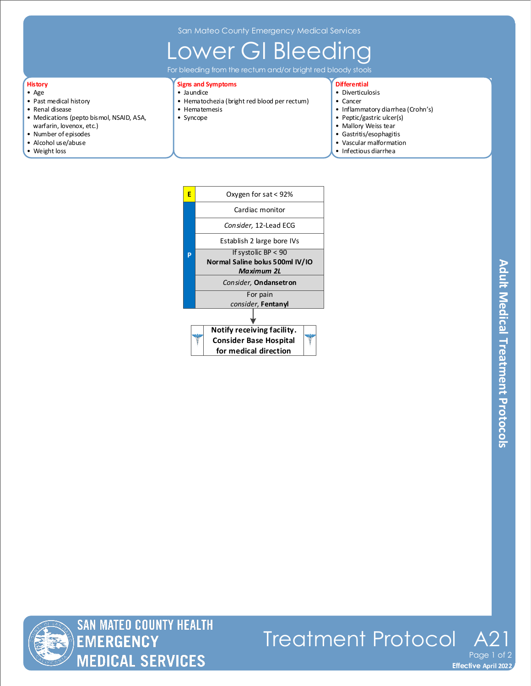San Mateo County Emergency Medical Services

## ower GI Bleeding

For bleeding from the rectum and/or bright red bloody stools

### **History**

- Age
- Past medical history
- Renal disease
- Medications (pepto bismol, NSAID, ASA, warfarin, lovenox, etc.)
- Number of episodes
- Alcohol use/abuse
- Weight loss

#### **Signs and Symptoms** • Jaundice

- Hematochezia (bright red blood per rectum)
- Hematemesis
- Syncope

### **Differential**

- Diverticulosis
- Cancer
- Inflammatory diarrhea (Crohn's)
- Peptic/gastric ulcer(s)
- Mallory Weiss tear
- Gastritis/esophagitis
- Vascular malformation
- Infectious diarrhea